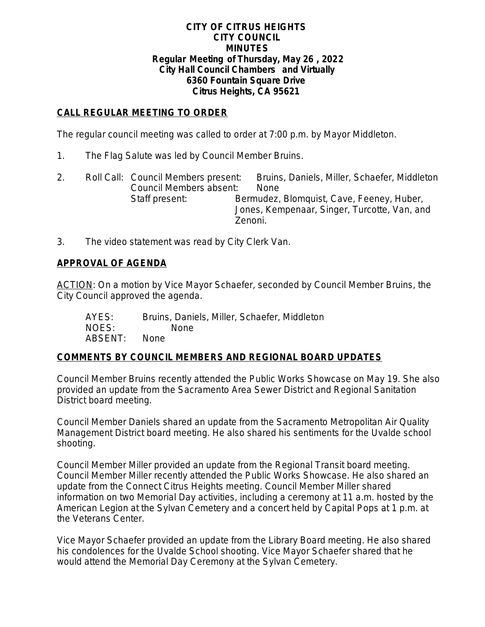#### **CITY OF CITRUS HEIGHTS CITY COUNCIL MINUTES Regular Meeting of Thursday, May 26 , 2022 City Hall Council Chambers and Virtually 6360 Fountain Square Drive Citrus Heights, CA 95621**

# **CALL REGULAR MEETING TO ORDER**

The regular council meeting was called to order at 7:00 p.m. by Mayor Middleton.

- 1. The Flag Salute was led by Council Member Bruins.
- 2. Roll Call: Council Members present: Bruins, Daniels, Miller, Schaefer, Middleton Council Members absent: None Staff present: Bermudez, Blomquist, Cave, Feeney, Huber, Jones, Kempenaar, Singer, Turcotte, Van, and Zenoni.
- 3. The video statement was read by City Clerk Van.

## **APPROVAL OF AGENDA**

ACTION: On a motion by Vice Mayor Schaefer, seconded by Council Member Bruins, the City Council approved the agenda.

| AYES:   | Bruins, Daniels, Miller, Schaefer, Middleton |
|---------|----------------------------------------------|
| NOES:   | None.                                        |
| ABSENT: | None.                                        |

## **COMMENTS BY COUNCIL MEMBERS AND REGIONAL BOARD UPDATES**

Council Member Bruins recently attended the Public Works Showcase on May 19. She also provided an update from the Sacramento Area Sewer District and Regional Sanitation District board meeting.

Council Member Daniels shared an update from the Sacramento Metropolitan Air Quality Management District board meeting. He also shared his sentiments for the Uvalde school shooting.

Council Member Miller provided an update from the Regional Transit board meeting. Council Member Miller recently attended the Public Works Showcase. He also shared an update from the Connect Citrus Heights meeting. Council Member Miller shared information on two Memorial Day activities, including a ceremony at 11 a.m. hosted by the American Legion at the Sylvan Cemetery and a concert held by Capital Pops at 1 p.m. at the Veterans Center.

Vice Mayor Schaefer provided an update from the Library Board meeting. He also shared his condolences for the Uvalde School shooting. Vice Mayor Schaefer shared that he would attend the Memorial Day Ceremony at the Sylvan Cemetery.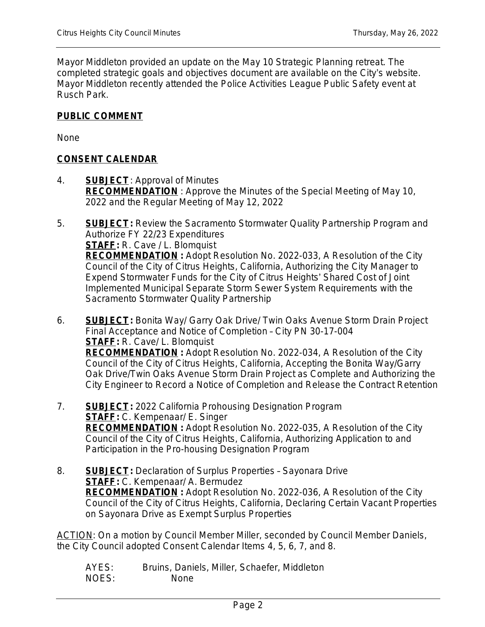Mayor Middleton provided an update on the May 10 Strategic Planning retreat. The completed strategic goals and objectives document are available on the City's website. Mayor Middleton recently attended the Police Activities League Public Safety event at Rusch Park.

### **PUBLIC COMMENT**

None

### **CONSENT CALENDAR**

4. **SUBJECT**: Approval of Minutes **RECOMMENDATION** : Approve the Minutes of the Special Meeting of May 10, 2022 and the Regular Meeting of May 12, 2022

5. **SUBJECT:** Review the Sacramento Stormwater Quality Partnership Program and Authorize FY 22/23 Expenditures **STAFF:** R. Cave / L. Blomquist **RECOMMENDATION :** Adopt Resolution No. 2022-033, A Resolution of the City Council of the City of Citrus Heights, California, Authorizing the City Manager to Expend Stormwater Funds for the City of Citrus Heights' Shared Cost of Joint Implemented Municipal Separate Storm Sewer System Requirements with the

Sacramento Stormwater Quality Partnership

- 6. **SUBJECT:** Bonita Way/ Garry Oak Drive/ Twin Oaks Avenue Storm Drain Project Final Acceptance and Notice of Completion – City PN 30-17-004 **STAFF:** R. Cave/ L. Blomquist **RECOMMENDATION :** Adopt Resolution No. 2022-034, A Resolution of the City Council of the City of Citrus Heights, California, Accepting the Bonita Way/Garry Oak Drive/Twin Oaks Avenue Storm Drain Project as Complete and Authorizing the City Engineer to Record a Notice of Completion and Release the Contract Retention
- 7. **SUBJECT:** 2022 California Prohousing Designation Program **STAFF:** C. Kempenaar/ E. Singer **RECOMMENDATION :** Adopt Resolution No. 2022-035, A Resolution of the City Council of the City of Citrus Heights, California, Authorizing Application to and Participation in the Pro-housing Designation Program
- 8. **SUBJECT:** Declaration of Surplus Properties Sayonara Drive **STAFF:** C. Kempenaar/ A. Bermudez **RECOMMENDATION :** Adopt Resolution No. 2022-036, A Resolution of the City Council of the City of Citrus Heights, California, Declaring Certain Vacant Properties on Sayonara Drive as Exempt Surplus Properties

ACTION: On a motion by Council Member Miller, seconded by Council Member Daniels, the City Council adopted Consent Calendar Items 4, 5, 6, 7, and 8.

AYES: Bruins, Daniels, Miller, Schaefer, Middleton NOES: None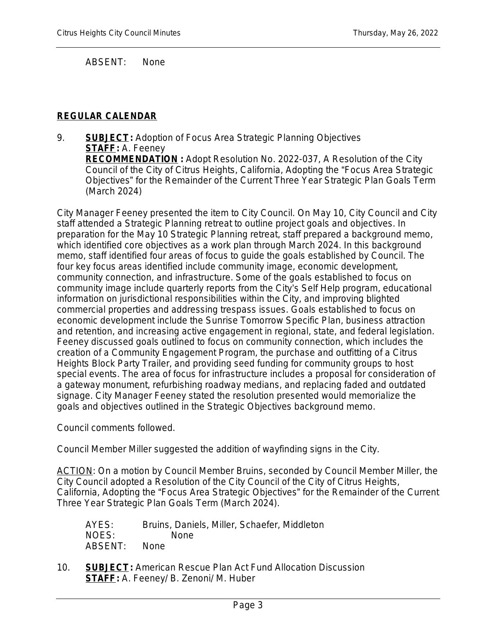ABSENT: None

# **REGULAR CALENDAR**

9. **SUBJECT:** Adoption of Focus Area Strategic Planning Objectives **STAFF:** A. Feeney **RECOMMENDATION :** Adopt Resolution No. 2022-037, A Resolution of the City Council of the City of Citrus Heights, California, Adopting the "Focus Area Strategic Objectives" for the Remainder of the Current Three Year Strategic Plan Goals Term (March 2024)

City Manager Feeney presented the item to City Council. On May 10, City Council and City staff attended a Strategic Planning retreat to outline project goals and objectives. In preparation for the May 10 Strategic Planning retreat, staff prepared a background memo, which identified core objectives as a work plan through March 2024. In this background memo, staff identified four areas of focus to guide the goals established by Council. The four key focus areas identified include community image, economic development, community connection, and infrastructure. Some of the goals established to focus on community image include quarterly reports from the City's Self Help program, educational information on jurisdictional responsibilities within the City, and improving blighted commercial properties and addressing trespass issues. Goals established to focus on economic development include the Sunrise Tomorrow Specific Plan, business attraction and retention, and increasing active engagement in regional, state, and federal legislation. Feeney discussed goals outlined to focus on community connection, which includes the creation of a Community Engagement Program, the purchase and outfitting of a Citrus Heights Block Party Trailer, and providing seed funding for community groups to host special events. The area of focus for infrastructure includes a proposal for consideration of a gateway monument, refurbishing roadway medians, and replacing faded and outdated signage. City Manager Feeney stated the resolution presented would memorialize the goals and objectives outlined in the Strategic Objectives background memo.

Council comments followed.

Council Member Miller suggested the addition of wayfinding signs in the City.

ACTION: On a motion by Council Member Bruins, seconded by Council Member Miller, the City Council adopted a Resolution of the City Council of the City of Citrus Heights, California, Adopting the "Focus Area Strategic Objectives" for the Remainder of the Current Three Year Strategic Plan Goals Term (March 2024).

| AYES:   | Bruins, Daniels, Miller, Schaefer, Middleton |
|---------|----------------------------------------------|
| NOES:   | None.                                        |
| ABSENT: | None.                                        |

10. **SUBJECT:** American Rescue Plan Act Fund Allocation Discussion **STAFF:** A. Feeney/ B. Zenoni/ M. Huber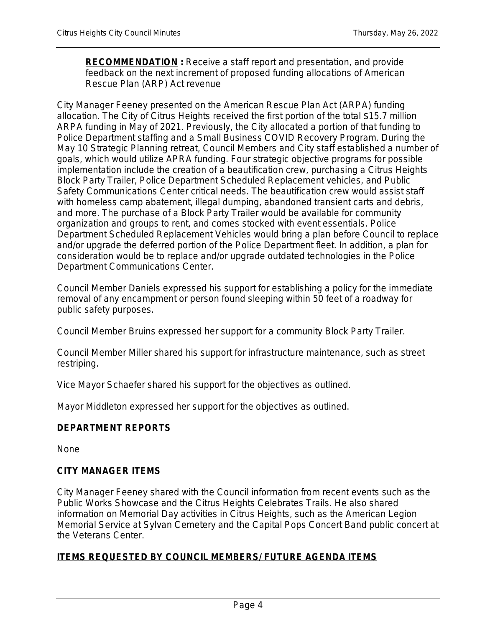**RECOMMENDATION :** Receive a staff report and presentation, and provide feedback on the next increment of proposed funding allocations of American Rescue Plan (ARP) Act revenue

City Manager Feeney presented on the American Rescue Plan Act (ARPA) funding allocation. The City of Citrus Heights received the first portion of the total \$15.7 million ARPA funding in May of 2021. Previously, the City allocated a portion of that funding to Police Department staffing and a Small Business COVID Recovery Program. During the May 10 Strategic Planning retreat, Council Members and City staff established a number of goals, which would utilize APRA funding. Four strategic objective programs for possible implementation include the creation of a beautification crew, purchasing a Citrus Heights Block Party Trailer, Police Department Scheduled Replacement vehicles, and Public Safety Communications Center critical needs. The beautification crew would assist staff with homeless camp abatement, illegal dumping, abandoned transient carts and debris, and more. The purchase of a Block Party Trailer would be available for community organization and groups to rent, and comes stocked with event essentials. Police Department Scheduled Replacement Vehicles would bring a plan before Council to replace and/or upgrade the deferred portion of the Police Department fleet. In addition, a plan for consideration would be to replace and/or upgrade outdated technologies in the Police Department Communications Center.

Council Member Daniels expressed his support for establishing a policy for the immediate removal of any encampment or person found sleeping within 50 feet of a roadway for public safety purposes.

Council Member Bruins expressed her support for a community Block Party Trailer.

Council Member Miller shared his support for infrastructure maintenance, such as street restriping.

Vice Mayor Schaefer shared his support for the objectives as outlined.

Mayor Middleton expressed her support for the objectives as outlined.

## **DEPARTMENT REPORTS**

None

#### **CITY MANAGER ITEMS**

City Manager Feeney shared with the Council information from recent events such as the Public Works Showcase and the Citrus Heights Celebrates Trails. He also shared information on Memorial Day activities in Citrus Heights, such as the American Legion Memorial Service at Sylvan Cemetery and the Capital Pops Concert Band public concert at the Veterans Center.

## **ITEMS REQUESTED BY COUNCIL MEMBERS/ FUTURE AGENDA ITEMS**